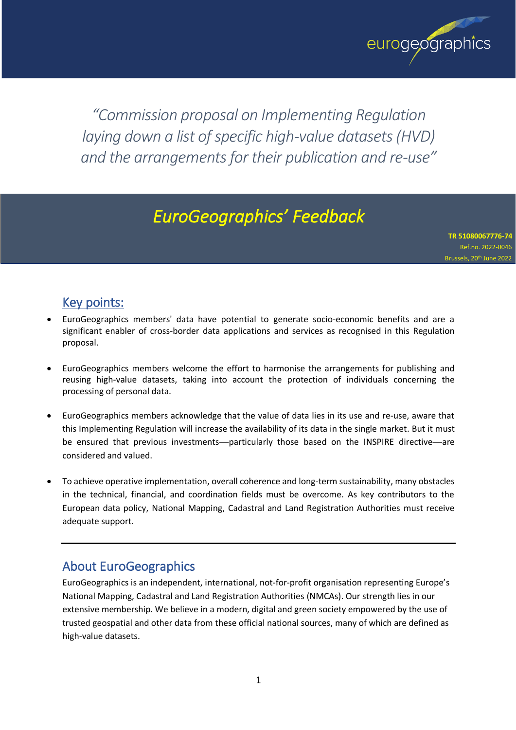

*"Commission proposal on Implementing Regulation laying down a list of specific high-value datasets (HVD) and the arrangements for their publication and re-use"*

# *EuroGeographics' Feedback*

**TR 51080067776-74** Ref.no. 2022-0046 Brussels, 20<sup>th</sup> June 2022

# Key points:

- EuroGeographics members' data have potential to generate socio-economic benefits and are a significant enabler of cross-border data applications and services as recognised in this Regulation proposal.
- EuroGeographics members welcome the effort to harmonise the arrangements for publishing and reusing high-value datasets, taking into account the protection of individuals concerning the processing of personal data.
- EuroGeographics members acknowledge that the value of data lies in its use and re-use, aware that this Implementing Regulation will increase the availability of its data in the single market. But it must be ensured that previous investments—particularly those based on the INSPIRE directive—are considered and valued.
- To achieve operative implementation, overall coherence and long-term sustainability, many obstacles in the technical, financial, and coordination fields must be overcome. As key contributors to the European data policy, National Mapping, Cadastral and Land Registration Authorities must receive adequate support.

## About EuroGeographics

EuroGeographics is an independent, international, not-for-profit organisation representing Europe's National Mapping, Cadastral and Land Registration Authorities (NMCAs). Our strength lies in our extensive membership. We believe in a modern, digital and green society empowered by the use of trusted geospatial and other data from these official national sources, many of which are defined as high-value datasets.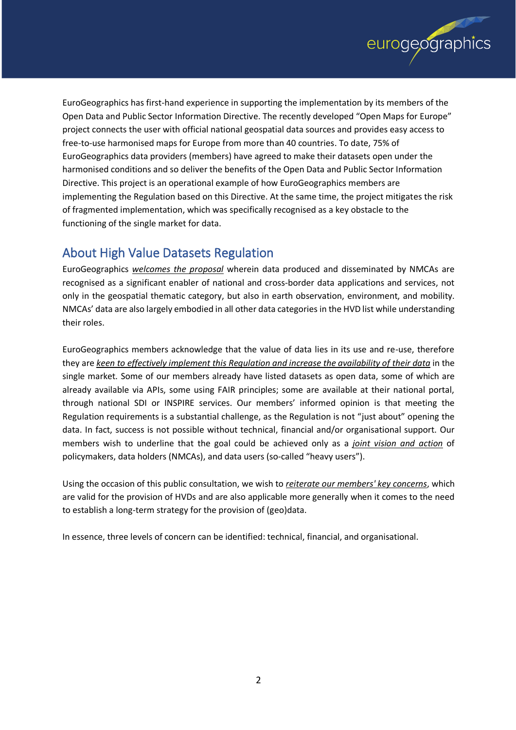

EuroGeographics has first-hand experience in supporting the implementation by its members of the Open Data and Public Sector Information Directive. The recently developed "Open Maps for Europe" project connects the user with official national geospatial data sources and provides easy access to free-to-use harmonised maps for Europe from more than 40 countries. To date, 75% of EuroGeographics data providers (members) have agreed to make their datasets open under the harmonised conditions and so deliver the benefits of the Open Data and Public Sector Information Directive. This project is an operational example of how EuroGeographics members are implementing the Regulation based on this Directive. At the same time, the project mitigates the risk of fragmented implementation, which was specifically recognised as a key obstacle to the functioning of the single market for data.

## About High Value Datasets Regulation

EuroGeographics *welcomes the proposal* wherein data produced and disseminated by NMCAs are recognised as a significant enabler of national and cross-border data applications and services, not only in the geospatial thematic category, but also in earth observation, environment, and mobility. NMCAs' data are also largely embodied in all other data categories in the HVD list while understanding their roles.

EuroGeographics members acknowledge that the value of data lies in its use and re-use, therefore they are *keen to effectively implement this Regulation and increase the availability of their data* in the single market. Some of our members already have listed datasets as open data, some of which are already available via APIs, some using FAIR principles; some are available at their national portal, through national SDI or INSPIRE services. Our members' informed opinion is that meeting the Regulation requirements is a substantial challenge, as the Regulation is not "just about" opening the data. In fact, success is not possible without technical, financial and/or organisational support. Our members wish to underline that the goal could be achieved only as a *joint vision and action* of policymakers, data holders (NMCAs), and data users (so-called "heavy users").

Using the occasion of this public consultation, we wish to *reiterate our members' key concerns*, which are valid for the provision of HVDs and are also applicable more generally when it comes to the need to establish a long-term strategy for the provision of (geo)data.

In essence, three levels of concern can be identified: technical, financial, and organisational.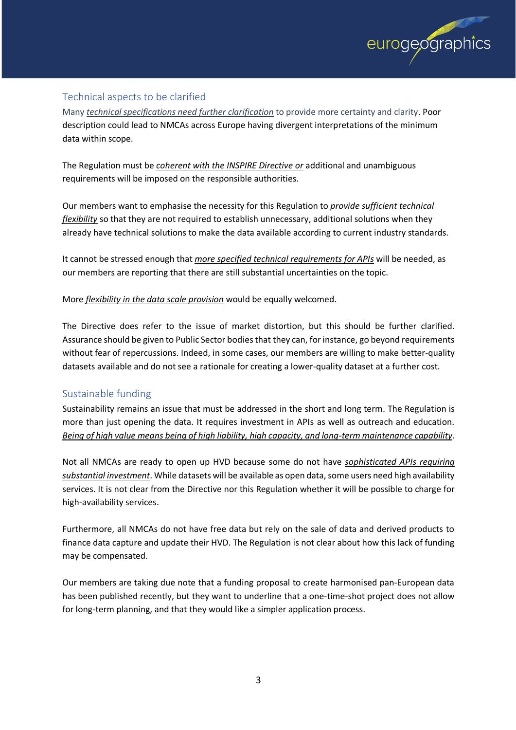

#### Technical aspects to be clarified

Many *technical specifications need further clarification* to provide more certainty and clarity. Poor description could lead to NMCAs across Europe having divergent interpretations of the minimum data within scope.

The Regulation must be *coherent with the INSPIRE Directive or* additional and unambiguous requirements will be imposed on the responsible authorities.

Our members want to emphasise the necessity for this Regulation to *provide sufficient technical flexibility* so that they are not required to establish unnecessary, additional solutions when they already have technical solutions to make the data available according to current industry standards.

It cannot be stressed enough that *more specified technical requirements for APIs* will be needed, as our members are reporting that there are still substantial uncertainties on the topic.

More *flexibility in the data scale provision* would be equally welcomed.

The Directive does refer to the issue of market distortion, but this should be further clarified. Assurance should be given to Public Sector bodiesthat they can, for instance, go beyond requirements without fear of repercussions. Indeed, in some cases, our members are willing to make better-quality datasets available and do not see a rationale for creating a lower-quality dataset at a further cost.

#### Sustainable funding

Sustainability remains an issue that must be addressed in the short and long term. The Regulation is more than just opening the data. It requires investment in APIs as well as outreach and education. *Being of high value means being of high liability, high capacity, and long-term maintenance capability*.

Not all NMCAs are ready to open up HVD because some do not have *sophisticated APIs requiring substantial investment*. While datasets will be available as open data, some users need high availability services. It is not clear from the Directive nor this Regulation whether it will be possible to charge for high-availability services.

Furthermore, all NMCAs do not have free data but rely on the sale of data and derived products to finance data capture and update their HVD. The Regulation is not clear about how this lack of funding may be compensated.

Our members are taking due note that a funding proposal to create harmonised pan-European data has been published recently, but they want to underline that a one-time-shot project does not allow for long-term planning, and that they would like a simpler application process.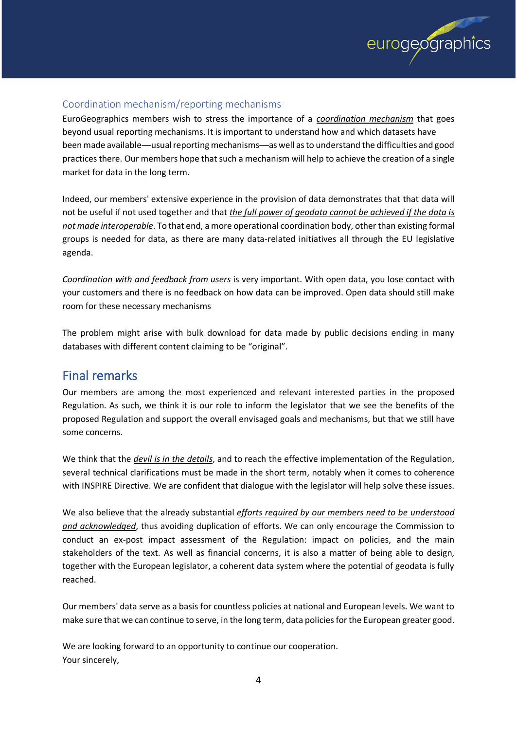

#### Coordination mechanism/reporting mechanisms

EuroGeographics members wish to stress the importance of a *coordination mechanism* that goes beyond usual reporting mechanisms. It is important to understand how and which datasets have been made available—usual reporting mechanisms—as well asto understand the difficulties and good practices there. Our members hope that such a mechanism will help to achieve the creation of a single market for data in the long term.

Indeed, our members' extensive experience in the provision of data demonstrates that that data will not be useful if not used together and that *the full power of geodata cannot be achieved if the data is not made interoperable*. To that end, a more operational coordination body, other than existing formal groups is needed for data, as there are many data-related initiatives all through the EU legislative agenda.

*Coordination with and feedback from users* is very important. With open data, you lose contact with your customers and there is no feedback on how data can be improved. Open data should still make room for these necessary mechanisms

The problem might arise with bulk download for data made by public decisions ending in many databases with different content claiming to be "original".

## Final remarks

Our members are among the most experienced and relevant interested parties in the proposed Regulation. As such, we think it is our role to inform the legislator that we see the benefits of the proposed Regulation and support the overall envisaged goals and mechanisms, but that we still have some concerns.

We think that the *devil is in the details*, and to reach the effective implementation of the Regulation, several technical clarifications must be made in the short term, notably when it comes to coherence with INSPIRE Directive. We are confident that dialogue with the legislator will help solve these issues.

We also believe that the already substantial *efforts required by our members need to be understood and acknowledged*, thus avoiding duplication of efforts. We can only encourage the Commission to conduct an ex-post impact assessment of the Regulation: impact on policies, and the main stakeholders of the text. As well as financial concerns, it is also a matter of being able to design, together with the European legislator, a coherent data system where the potential of geodata is fully reached.

Our members' data serve as a basis for countless policies at national and European levels. We want to make sure that we can continue to serve, in the long term, data policies for the European greater good.

We are looking forward to an opportunity to continue our cooperation. Your sincerely,